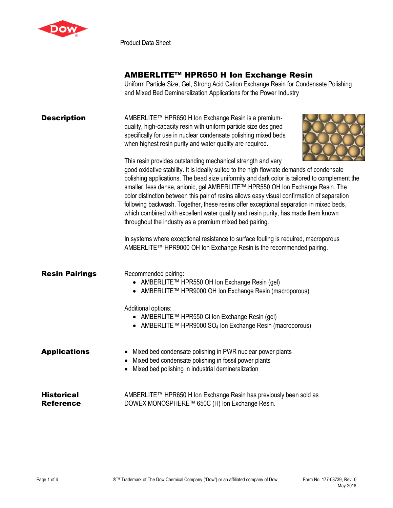

Product Data Sheet

## AMBERLITE™ HPR650 H Ion Exchange Resin

Uniform Particle Size, Gel, Strong Acid Cation Exchange Resin for Condensate Polishing and Mixed Bed Demineralization Applications for the Power Industry

| <b>Description</b>                    | AMBERLITE™ HPR650 H Ion Exchange Resin is a premium-<br>quality, high-capacity resin with uniform particle size designed<br>specifically for use in nuclear condensate polishing mixed beds<br>when highest resin purity and water quality are required.<br>This resin provides outstanding mechanical strength and very<br>good oxidative stability. It is ideally suited to the high flowrate demands of condensate<br>polishing applications. The bead size uniformity and dark color is tailored to complement the<br>smaller, less dense, anionic, gel AMBERLITE™ HPR550 OH Ion Exchange Resin. The<br>color distinction between this pair of resins allows easy visual confirmation of separation<br>following backwash. Together, these resins offer exceptional separation in mixed beds,<br>which combined with excellent water quality and resin purity, has made them known<br>throughout the industry as a premium mixed bed pairing.<br>In systems where exceptional resistance to surface fouling is required, macroporous<br>AMBERLITE™ HPR9000 OH Ion Exchange Resin is the recommended pairing. |
|---------------------------------------|------------------------------------------------------------------------------------------------------------------------------------------------------------------------------------------------------------------------------------------------------------------------------------------------------------------------------------------------------------------------------------------------------------------------------------------------------------------------------------------------------------------------------------------------------------------------------------------------------------------------------------------------------------------------------------------------------------------------------------------------------------------------------------------------------------------------------------------------------------------------------------------------------------------------------------------------------------------------------------------------------------------------------------------------------------------------------------------------------------------|
| <b>Resin Pairings</b>                 | Recommended pairing:<br>● AMBERLITE™ HPR550 OH Ion Exchange Resin (gel)<br>● AMBERLITE™ HPR9000 OH Ion Exchange Resin (macroporous)<br>Additional options:<br>● AMBERLITE™ HPR550 CI Ion Exchange Resin (gel)<br>• AMBERLITE TM HPR9000 $SO_4$ lon Exchange Resin (macroporous)                                                                                                                                                                                                                                                                                                                                                                                                                                                                                                                                                                                                                                                                                                                                                                                                                                  |
| <b>Applications</b>                   | • Mixed bed condensate polishing in PWR nuclear power plants<br>• Mixed bed condensate polishing in fossil power plants<br>Mixed bed polishing in industrial demineralization                                                                                                                                                                                                                                                                                                                                                                                                                                                                                                                                                                                                                                                                                                                                                                                                                                                                                                                                    |
| <b>Historical</b><br><b>Reference</b> | AMBERLITE™ HPR650 H Ion Exchange Resin has previously been sold as<br>DOWEX MONOSPHERE™ 650C (H) Ion Exchange Resin.                                                                                                                                                                                                                                                                                                                                                                                                                                                                                                                                                                                                                                                                                                                                                                                                                                                                                                                                                                                             |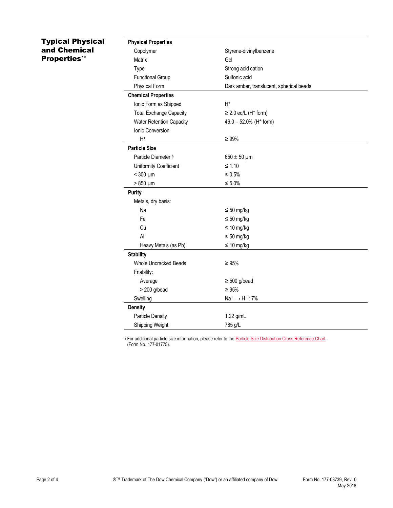## Typical Physical and Chemical Properties\*\*

| <b>Physical Properties</b>      |                                          |
|---------------------------------|------------------------------------------|
| Copolymer                       | Styrene-divinylbenzene                   |
| Matrix                          | Gel                                      |
| Type                            | Strong acid cation                       |
| <b>Functional Group</b>         | Sulfonic acid                            |
| <b>Physical Form</b>            | Dark amber, translucent, spherical beads |
| <b>Chemical Properties</b>      |                                          |
| Ionic Form as Shipped           | $H^+$                                    |
| <b>Total Exchange Capacity</b>  | $\geq$ 2.0 eq/L (H <sup>+</sup> form)    |
| <b>Water Retention Capacity</b> | 46.0 - 52.0% (H <sup>+</sup> form)       |
| Ionic Conversion                |                                          |
| $H^+$                           | $\geq 99\%$                              |
| <b>Particle Size</b>            |                                          |
| Particle Diameter §             | $650 \pm 50$ µm                          |
| Uniformity Coefficient          | $\leq 1.10$                              |
| $<$ 300 $\mu$ m                 | $\leq 0.5\%$                             |
| $>850 \mu m$                    | $\leq 5.0\%$                             |
| <b>Purity</b>                   |                                          |
| Metals, dry basis:              |                                          |
| Na                              | $\leq 50$ mg/kg                          |
| Fe                              | $\leq 50$ mg/kg                          |
| Cu                              | $\leq 10$ mg/kg                          |
| Al                              | $\leq 50$ mg/kg                          |
| Heavy Metals (as Pb)            | $\leq 10$ mg/kg                          |
| <b>Stability</b>                |                                          |
| <b>Whole Uncracked Beads</b>    | $\geq 95\%$                              |
| Friability:                     |                                          |
| Average                         | $\geq 500$ g/bead                        |
| $> 200$ g/bead                  | $\geq 95\%$                              |
| Swelling                        | $Na^+ \rightarrow H^+$ : 7%              |
| <b>Density</b>                  |                                          |
| <b>Particle Density</b>         | 1.22 g/mL                                |
| Shipping Weight                 | 785 g/L                                  |

§ For additional particle size information, please refer to th[e Particle Size Distribution Cross Reference Chart](http://www.dow.com/webapps/include/GetDoc.aspx?filepath=liquidseps/pdfs/noreg/177-01775.pdf) (Form No. 177-01775).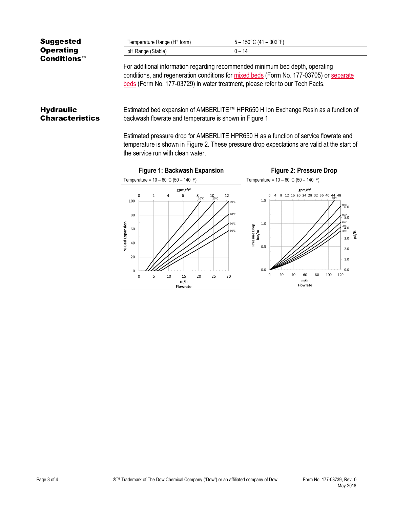| <b>Suggested</b>    | Temperature Range (H <sup>+</sup> form) | 5 – 150°C (41 – 302°F)                                                       |
|---------------------|-----------------------------------------|------------------------------------------------------------------------------|
| <b>Operating</b>    | pH Range (Stable)                       | $0 - 14$                                                                     |
| <b>Conditions**</b> |                                         | Ear additional information regarding recommended minimum had donth energting |

For additional information regarding recommended minimum bed depth, operating conditions, and regeneration conditions for [mixed beds](http://www.dow.com/webapps/include/GetDoc.aspx?filepath=liquidseps/pdfs/noreg/177-03705.pdf) (Form No. 177-03705) or [separate](http://www.dow.com/webapps/include/GetDoc.aspx?filepath=liquidseps/pdfs/noreg/177-03729.pdf)  [beds](http://www.dow.com/webapps/include/GetDoc.aspx?filepath=liquidseps/pdfs/noreg/177-03729.pdf) (Form No. 177-03729) in water treatment, please refer to our Tech Facts.

## **Hydraulic Characteristics**

Estimated bed expansion of AMBERLITE™ HPR650 H Ion Exchange Resin as a function of backwash flowrate and temperature is shown in Figure 1.

Estimated pressure drop for AMBERLITE HPR650 H as a function of service flowrate and temperature is shown in Figure 2. These pressure drop expectations are valid at the start of the service run with clean water.



psi/ft